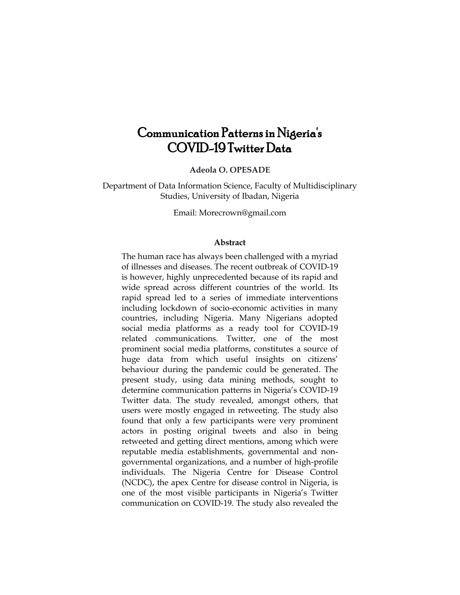# Communication Patterns in Nigeria's COVID-19 Twitter Data

**Adeola O. OPESADE**

Department of Data Information Science, Faculty of Multidisciplinary Studies, University of Ibadan, Nigeria

Email: Morecrown@gmail.com

#### **Abstract**

The human race has always been challenged with a myriad of illnesses and diseases. The recent outbreak of COVID-19 is however, highly unprecedented because of its rapid and wide spread across different countries of the world. Its rapid spread led to a series of immediate interventions including lockdown of socio-economic activities in many countries, including Nigeria. Many Nigerians adopted social media platforms as a ready tool for COVID-19 related communications. Twitter, one of the most prominent social media platforms, constitutes a source of huge data from which useful insights on citizens' behaviour during the pandemic could be generated. The present study, using data mining methods, sought to determine communication patterns in Nigeria's COVID-19 Twitter data. The study revealed, amongst others, that users were mostly engaged in retweeting. The study also found that only a few participants were very prominent actors in posting original tweets and also in being retweeted and getting direct mentions, among which were reputable media establishments, governmental and nongovernmental organizations, and a number of high-profile individuals. The Nigeria Centre for Disease Control (NCDC), the apex Centre for disease control in Nigeria, is one of the most visible participants in Nigeria's Twitter communication on COVID-19. The study also revealed the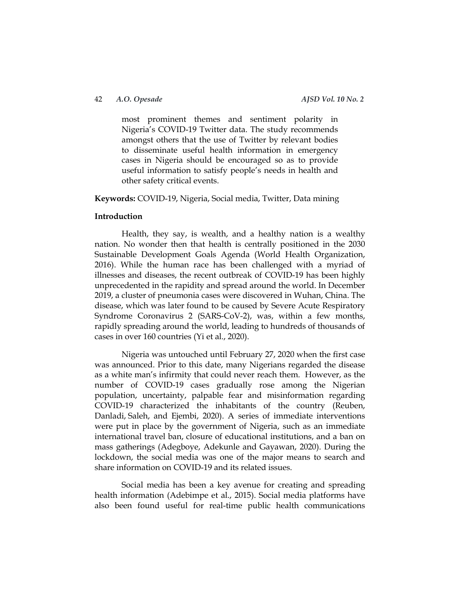most prominent themes and sentiment polarity in Nigeria's COVID-19 Twitter data. The study recommends amongst others that the use of Twitter by relevant bodies to disseminate useful health information in emergency cases in Nigeria should be encouraged so as to provide useful information to satisfy people's needs in health and other safety critical events.

**Keywords:** COVID-19, Nigeria, Social media, Twitter, Data mining

#### **Introduction**

Health, they say, is wealth, and a healthy nation is a wealthy nation. No wonder then that health is centrally positioned in the 2030 Sustainable Development Goals Agenda (World Health Organization, 2016). While the human race has been challenged with a myriad of illnesses and diseases, the recent outbreak of COVID-19 has been highly unprecedented in the rapidity and spread around the world. In December 2019, a cluster of pneumonia cases were discovered in Wuhan, China. The disease, which was later found to be caused by Severe Acute Respiratory Syndrome Coronavirus 2 (SARS-CoV-2), was, within a few months, rapidly spreading around the world, leading to hundreds of thousands of cases in over 160 countries (Yi et al., 2020).

Nigeria was untouched until February 27, 2020 when the first case was announced. Prior to this date, many Nigerians regarded the disease as a white man's infirmity that could never reach them. However, as the number of COVID-19 cases gradually rose among the Nigerian population, uncertainty, palpable fear and misinformation regarding COVID-19 characterized the inhabitants of the country (Reuben, Danladi, Saleh, and Ejembi, 2020). A series of immediate interventions were put in place by the government of Nigeria, such as an immediate international travel ban, closure of educational institutions, and a ban on mass gatherings (Adegboye, Adekunle and Gayawan, 2020). During the lockdown, the social media was one of the major means to search and share information on COVID-19 and its related issues.

Social media has been a key avenue for creating and spreading health information (Adebimpe et al., 2015). Social media platforms have also been found useful for real-time public health communications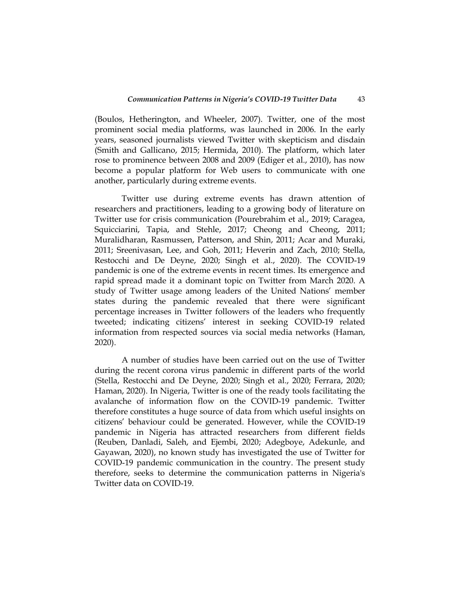(Boulos, Hetherington, and Wheeler, 2007). Twitter, one of the most prominent social media platforms, was launched in 2006. In the early years, seasoned journalists viewed Twitter with skepticism and disdain (Smith and Gallicano, 2015; Hermida, 2010). The platform, which later rose to prominence between 2008 and 2009 (Ediger et al., 2010), has now become a popular platform for Web users to communicate with one another, particularly during extreme events.

Twitter use during extreme events has drawn attention of researchers and practitioners, leading to a growing body of literature on Twitter use for crisis communication (Pourebrahim et al., 2019; Caragea, Squicciarini, Tapia, and Stehle, 2017; Cheong and Cheong, 2011; Muralidharan, Rasmussen, Patterson, and Shin, 2011; Acar and Muraki, 2011; Sreenivasan, Lee, and Goh, 2011; Heverin and Zach, 2010; Stella, Restocchi and De Deyne, 2020; Singh et al., 2020). The COVID-19 pandemic is one of the extreme events in recent times. Its emergence and rapid spread made it a dominant topic on Twitter from March 2020. A study of Twitter usage among leaders of the United Nations' member states during the pandemic revealed that there were significant percentage increases in Twitter followers of the leaders who frequently tweeted; indicating citizens' interest in seeking COVID-19 related information from respected sources via social media networks (Haman, 2020).

A number of studies have been carried out on the use of Twitter during the recent corona virus pandemic in different parts of the world (Stella, Restocchi and De Deyne, 2020; Singh et al., 2020; Ferrara, 2020; Haman, 2020). In Nigeria, Twitter is one of the ready tools facilitating the avalanche of information flow on the COVID-19 pandemic. Twitter therefore constitutes a huge source of data from which useful insights on citizens' behaviour could be generated. However, while the COVID-19 pandemic in Nigeria has attracted researchers from different fields (Reuben, Danladi, Saleh, and Ejembi, 2020; Adegboye, Adekunle, and Gayawan, 2020), no known study has investigated the use of Twitter for COVID-19 pandemic communication in the country. The present study therefore, seeks to determine the communication patterns in Nigeria's Twitter data on COVID-19.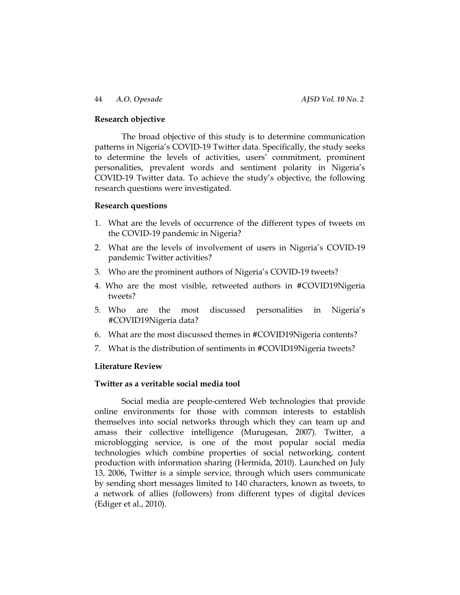#### **Research objective**

The broad objective of this study is to determine communication patterns in Nigeria's COVID-19 Twitter data. Specifically, the study seeks to determine the levels of activities, users' commitment, prominent personalities, prevalent words and sentiment polarity in Nigeria's COVID-19 Twitter data. To achieve the study's objective, the following research questions were investigated.

#### **Research questions**

- 1. What are the levels of occurrence of the different types of tweets on the COVID-19 pandemic in Nigeria?
- 2. What are the levels of involvement of users in Nigeria's COVID-19 pandemic Twitter activities?
- 3. Who are the prominent authors of Nigeria's COVID-19 tweets?
- 4. Who are the most visible, retweeted authors in #COVID19Nigeria tweets?
- 5. Who are the most discussed personalities in Nigeria's #COVID19Nigeria data?
- 6. What are the most discussed themes in #COVID19Nigeria contents?
- 7. What is the distribution of sentiments in #COVID19Nigeria tweets?

#### **Literature Review**

### **Twitter as a veritable social media tool**

Social media are people-centered Web technologies that provide online environments for those with common interests to establish themselves into social networks through which they can team up and amass their collective intelligence (Murugesan, 2007). Twitter, a microblogging service, is one of the most popular social media technologies which combine properties of social networking, content production with information sharing (Hermida, 2010). Launched on July 13, 2006, Twitter is a simple service, through which users communicate by sending short messages limited to 140 characters, known as tweets, to a network of allies (followers) from different types of digital devices (Ediger et al., 2010).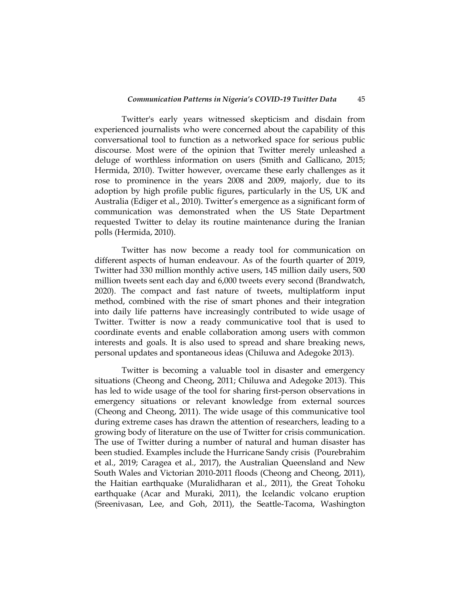Twitter's early years witnessed skepticism and disdain from experienced journalists who were concerned about the capability of this conversational tool to function as a networked space for serious public discourse. Most were of the opinion that Twitter merely unleashed a deluge of worthless information on users (Smith and Gallicano, 2015; Hermida, 2010). Twitter however, overcame these early challenges as it rose to prominence in the years 2008 and 2009, majorly, due to its adoption by high profile public figures, particularly in the US, UK and Australia (Ediger et al., 2010). Twitter's emergence as a significant form of communication was demonstrated when the US State Department requested Twitter to delay its routine maintenance during the Iranian polls (Hermida, 2010).

Twitter has now become a ready tool for communication on different aspects of human endeavour. As of the fourth quarter of 2019, Twitter had 330 million [monthly](https://s22.q4cdn.com/826641620/files/doc_financials/2019/q1/Q1-2019-Selected-Company-Metrics-and-Financials.pdf) active users, 145 [million](https://s22.q4cdn.com/826641620/files/doc_financials/2019/q3/Q3-2019-Selected-Financials-and-Metrics.pdf) daily users, [500](http://www.internetlivestats.com/twitter-statistics/) [million](http://www.internetlivestats.com/twitter-statistics/) tweets sent each day and 6,000 tweets every second (Brandwatch, 2020). The compact and fast nature of tweets, multiplatform input method, combined with the rise of smart phones and their integration into daily life patterns have increasingly contributed to wide usage of Twitter. Twitter is now a ready communicative tool that is used to coordinate events and enable collaboration among users with common interests and goals. It is also used to spread and share breaking news, personal updates and spontaneous ideas (Chiluwa and Adegoke 2013).

Twitter is becoming a valuable tool in disaster and emergency situations (Cheong and Cheong, 2011; Chiluwa and Adegoke 2013). This has led to wide usage of the tool for sharing first-person observations in emergency situations or relevant knowledge from external sources (Cheong and Cheong, 2011). The wide usage of this communicative tool during extreme cases has drawn the attention of researchers, leading to a growing body of literature on the use of Twitter for crisis communication. The use of Twitter during a number of natural and human disaster has been studied. Examples include the Hurricane Sandy crisis (Pourebrahim et al., 2019; Caragea et al., 2017), the Australian Queensland and New South Wales and Victorian 2010-2011 floods (Cheong and Cheong, 2011), the Haitian earthquake (Muralidharan et al., 2011), the Great Tohoku earthquake (Acar and Muraki, 2011), the Icelandic volcano eruption (Sreenivasan, Lee, and Goh, 2011), the Seattle-Tacoma, Washington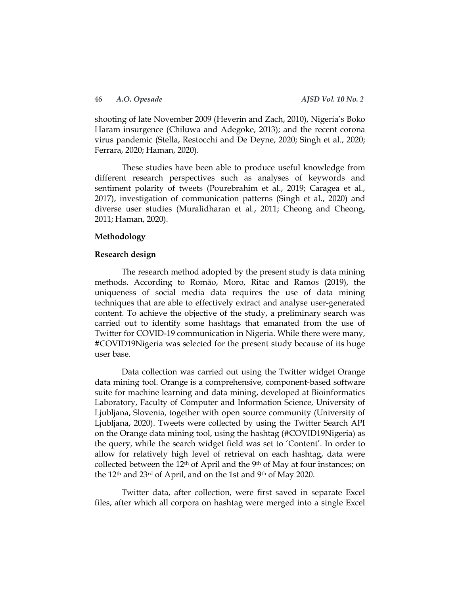shooting of late November 2009 (Heverin and Zach, 2010), Nigeria's Boko Haram insurgence (Chiluwa and Adegoke, 2013); and the recent corona virus pandemic (Stella, Restocchi and De Deyne, 2020; Singh et al., 2020; Ferrara, 2020; Haman, 2020).

These studies have been able to produce useful knowledge from different research perspectives such as analyses of keywords and sentiment polarity of tweets (Pourebrahim et al., 2019; Caragea et al., 2017), investigation of communication patterns (Singh et al., 2020) and diverse user studies (Muralidharan et al., 2011; Cheong and Cheong, 2011; Haman, 2020).

### **Methodology**

#### **Research design**

The research method adopted by the present study is data mining methods. According to Romão, Moro, Ritac and Ramos (2019), the uniqueness of social media data requires the use of data mining techniques that are able to effectively extract and analyse user-generated content. To achieve the objective of the study, a preliminary search was carried out to identify some hashtags that emanated from the use of Twitter for COVID-19 communication in Nigeria. While there were many, #COVID19Nigeria was selected for the present study because of its huge user base.

Data collection was carried out using the Twitter widget Orange data mining tool. Orange is a comprehensive, component-based software suite for machine learning and data mining, developed at Bioinformatics Laboratory, Faculty of Computer and Information Science, University of Ljubljana, Slovenia, together with open source community (University of Ljubljana, 2020). Tweets were collected by using the Twitter Search API on the Orange data mining tool, using the hashtag (#COVID19Nigeria) as the query, while the search widget field was set to 'Content'. In order to allow for relatively high level of retrieval on each hashtag, data were collected between the  $12<sup>th</sup>$  of April and the 9<sup>th</sup> of May at four instances; on the 12th and 23rd of April, and on the 1st and 9th of May 2020.

Twitter data, after collection, were first saved in separate Excel files, after which all corpora on hashtag were merged into a single Excel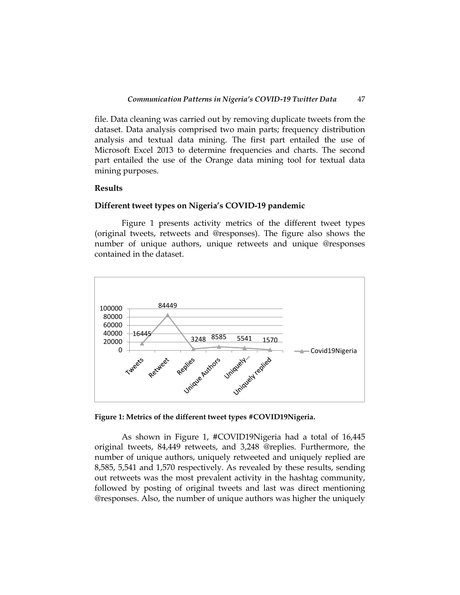file. Data cleaning was carried out by removing duplicate tweets from the dataset. Data analysis comprised two main parts; frequency distribution analysis and textual data mining. The first part entailed the use of Microsoft Excel 2013 to determine frequencies and charts. The second part entailed the use of the Orange data mining tool for textual data mining purposes.

### **Results**

#### **Different tweet types on Nigeria's COVID-19 pandemic**

Figure 1 presents activity metrics of the different tweet types (original tweets, retweets and @responses). The figure also shows the number of unique authors, unique retweets and unique @responses contained in the dataset.



**Figure 1: Metrics of the different tweet types #COVID19Nigeria.**

As shown in Figure 1, #COVID19Nigeria had a total of 16,445 original tweets, 84,449 retweets, and 3,248 @replies. Furthermore, the number of unique authors, uniquely retweeted and uniquely replied are 8,585, 5,541 and 1,570 respectively. As revealed by these results, sending out retweets was the most prevalent activity in the hashtag community, followed by posting of original tweets and last was direct mentioning @responses. Also, the number of unique authors was higher the uniquely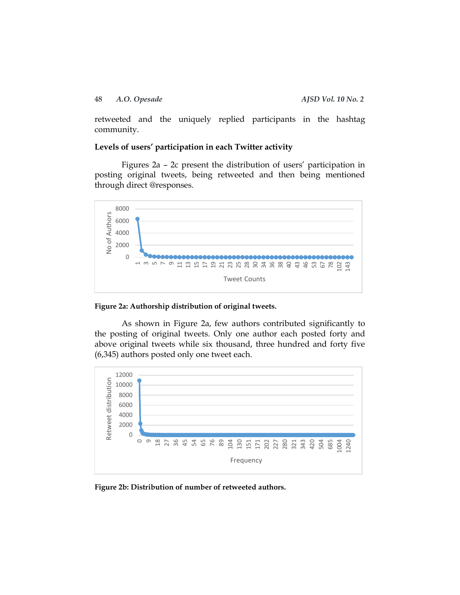### 48 *A.O. Opesade AJSD Vol. 10 No. 2*

retweeted and the uniquely replied participants in the hashtag community.

### **Levels of users' participation in each Twitter activity**

Figures 2a – 2c present the distribution of users' participation in posting original tweets, being retweeted and then being mentioned through direct @responses.





As shown in Figure 2a, few authors contributed significantly to the posting of original tweets. Only one author each posted forty and above original tweets while six thousand, three hundred and forty five (6,345) authors posted only one tweet each.



**Figure 2b: Distribution of number of retweeted authors.**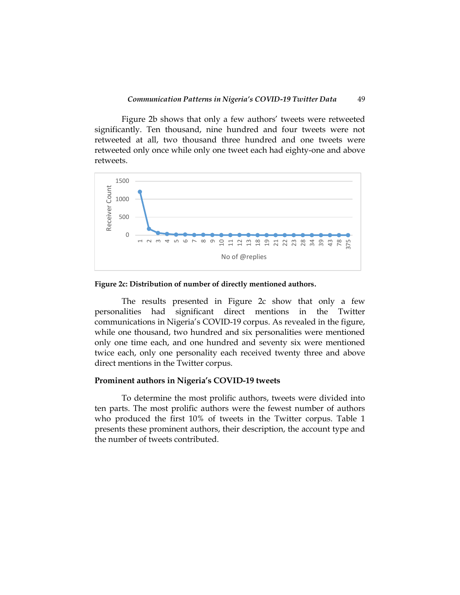Figure 2b shows that only a few authors' tweets were retweeted significantly. Ten thousand, nine hundred and four tweets were not retweeted at all, two thousand three hundred and one tweets were retweeted only once while only one tweet each had eighty-one and above retweets.



**Figure 2c: Distribution of number of directly mentioned authors.**

The results presented in Figure 2c show that only a few personalities had significant direct mentions in the Twitter communications in Nigeria's COVID-19 corpus. As revealed in the figure, while one thousand, two hundred and six personalities were mentioned only one time each, and one hundred and seventy six were mentioned twice each, only one personality each received twenty three and above direct mentions in the Twitter corpus.

#### **Prominent authors in Nigeria's COVID-19 tweets**

To determine the most prolific authors, tweets were divided into ten parts. The most prolific authors were the fewest number of authors who produced the first 10% of tweets in the Twitter corpus. Table 1 presents these prominent authors, their description, the account type and the number of tweets contributed.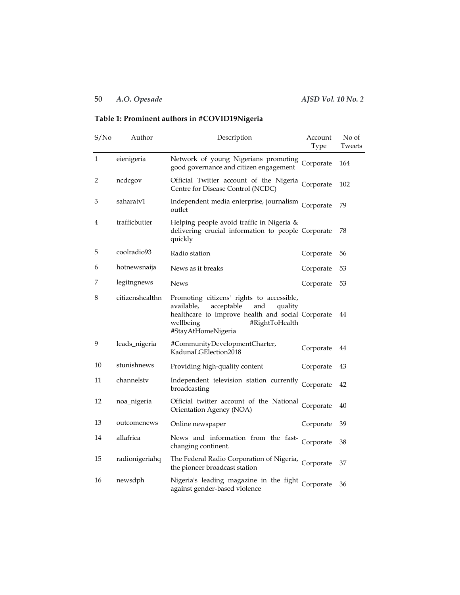## 50 *A.O. Opesade AJSD Vol. 10 No. 2*

# **Table 1: Prominent authors in #COVID19Nigeria**

| S/No | Author          | Description                                                                                                                                                                                       | Account<br>Type | No of<br>Tweets |
|------|-----------------|---------------------------------------------------------------------------------------------------------------------------------------------------------------------------------------------------|-----------------|-----------------|
| 1    | eienigeria      | Network of young Nigerians promoting Corporate<br>good governance and citizen engagement                                                                                                          |                 | 164             |
| 2    | ncdcgov         | Official Twitter account of the Nigeria Corporate<br>Centre for Disease Control (NCDC)                                                                                                            |                 | 102             |
| 3    | saharatv1       | Independent media enterprise, journalism Corporate<br>outlet                                                                                                                                      |                 | 79              |
| 4    | trafficbutter   | Helping people avoid traffic in Nigeria &<br>delivering crucial information to people Corporate<br>quickly                                                                                        |                 | 78              |
| 5    | coolradio93     | Radio station                                                                                                                                                                                     | Corporate       | 56              |
| 6    | hotnewsnaija    | News as it breaks                                                                                                                                                                                 | Corporate       | 53              |
| 7    | legitngnews     | <b>News</b>                                                                                                                                                                                       | Corporate       | 53              |
| 8    | citizenshealthn | Promoting citizens' rights to accessible,<br>available,<br>acceptable<br>and<br>quality<br>healthcare to improve health and social Corporate<br>#RightToHealth<br>wellbeing<br>#StayAtHomeNigeria |                 | 44              |
| 9    | leads_nigeria   | #CommunityDevelopmentCharter,<br>KadunaLGElection2018                                                                                                                                             | Corporate       | 44              |
| 10   | stunishnews     | Providing high-quality content                                                                                                                                                                    | Corporate       | 43              |
| 11   | channelstv      | Independent television station currently Corporate<br>broadcasting                                                                                                                                |                 | 42              |
| 12   | noa_nigeria     | Official twitter account of the National<br>Orientation Agency (NOA)                                                                                                                              | Corporate       | 40              |
| 13   | outcomenews     | Online newspaper                                                                                                                                                                                  | Corporate       | 39              |
| 14   | allafrica       | News and information from the fast- Corporate<br>changing continent.                                                                                                                              |                 | 38              |
| 15   | radionigeriahq  | The Federal Radio Corporation of Nigeria, Corporate<br>the pioneer broadcast station                                                                                                              |                 | 37              |
| 16   | newsdph         | Nigeria's leading magazine in the fight Corporate<br>against gender-based violence                                                                                                                |                 | 36              |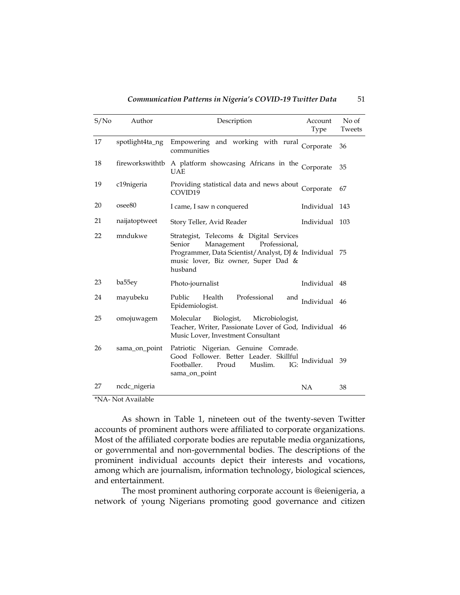| S/N <sub>0</sub> | Author             | Description                                                                                                                                                                                  | Account<br>Type | No of<br>Tweets |
|------------------|--------------------|----------------------------------------------------------------------------------------------------------------------------------------------------------------------------------------------|-----------------|-----------------|
| 17               | spotlight4ta_ng    | Empowering and working with rural<br>communities                                                                                                                                             | Corporate       | 36              |
| 18               |                    | fireworkswithtb A platform showcasing Africans in the Corporate<br><b>UAE</b>                                                                                                                |                 | 35              |
| 19               | c19nigeria         | Providing statistical data and news about<br>COVID19                                                                                                                                         | Corporate       | 67              |
| 20               | osee <sub>80</sub> | I came, I saw n conquered                                                                                                                                                                    | Individual 143  |                 |
| 21               | naijatoptweet      | Story Teller, Avid Reader                                                                                                                                                                    | Individual 103  |                 |
| 22               | mndukwe            | Strategist, Telecoms & Digital Services<br>Senior<br>Management<br>Professional,<br>Programmer, Data Scientist/Analyst, DJ & Individual 75<br>music lover, Biz owner, Super Dad &<br>husband |                 |                 |
| 23               | ba55ey             | Photo-journalist                                                                                                                                                                             | Individual 48   |                 |
| 24               | mayubeku           | Professional<br>Public<br>Health<br>and<br>Epidemiologist.                                                                                                                                   | Individual      | 46              |
| 25               | omojuwagem         | Molecular<br>Biologist,<br>Microbiologist,<br>Teacher, Writer, Passionate Lover of God, Individual 46<br>Music Lover, Investment Consultant                                                  |                 |                 |
| 26               | sama_on_point      | Patriotic Nigerian. Genuine Comrade.<br>Good Follower. Better Leader. Skillful<br>Footballer.<br>Proud<br>Muslim.<br>IG:<br>sama_on_point                                                    | Individual      | 39              |
| 27               | ncdc_nigeria       |                                                                                                                                                                                              | <b>NA</b>       | 38              |

*Communication Patterns in Nigeria's COVID-19 Twitter Data* 51

\*NA- Not Available

As shown in Table 1, nineteen out of the twenty-seven Twitter accounts of prominent authors were affiliated to corporate organizations. Most of the affiliated corporate bodies are reputable media organizations, or governmental and non-governmental bodies. The descriptions of the prominent individual accounts depict their interests and vocations, among which are journalism, information technology, biological sciences, and entertainment.

The most prominent authoring corporate account is @eienigeria, a network of young Nigerians promoting good governance and citizen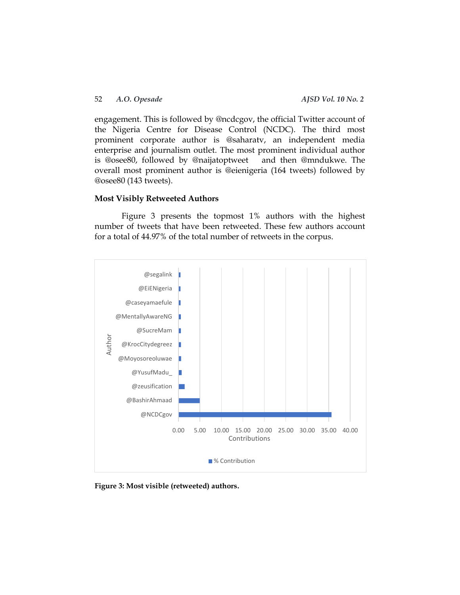engagement. This is followed by @ncdcgov, the official Twitter account of the Nigeria Centre for Disease Control (NCDC). The third most prominent corporate author is @saharatv, an independent media enterprise and journalism outlet. The most prominent individual author is @osee80, followed by @naijatoptweet and then @mndukwe. The overall most prominent author is @eienigeria (164 tweets) followed by @osee80 (143 tweets).

#### **Most Visibly Retweeted Authors**

Figure 3 presents the topmost 1% authors with the highest number of tweets that have been retweeted. These few authors account for a total of 44.97% of the total number of retweets in the corpus.



**Figure 3: Most visible (retweeted) authors.**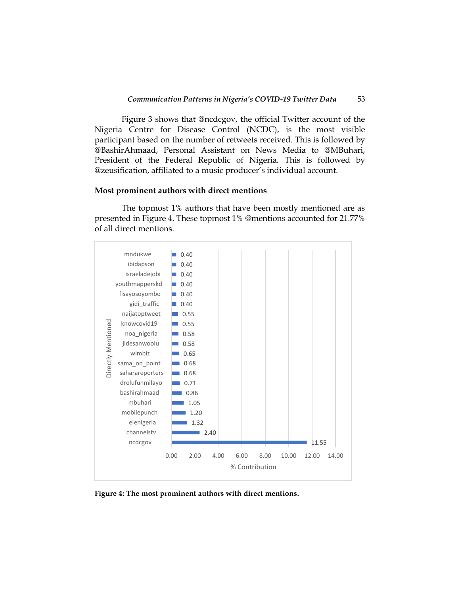Figure 3 shows that @ncdcgov, the official Twitter account of the Nigeria Centre for Disease Control (NCDC), is the most visible participant based on the number of retweets received. This is followed by @BashirAhmaad, Personal Assistant on News Media to @MBuhari, President of the Federal Republic of Nigeria. This is followed by @zeusification, affiliated to a music producer's individual account.

#### **Most prominent authors with direct mentions**

The topmost 1% authors that have been mostly mentioned are as presented in Figure 4. These topmost 1% @mentions accounted for 21.77% of all direct mentions.



**Figure 4: The most prominent authors with direct mentions.**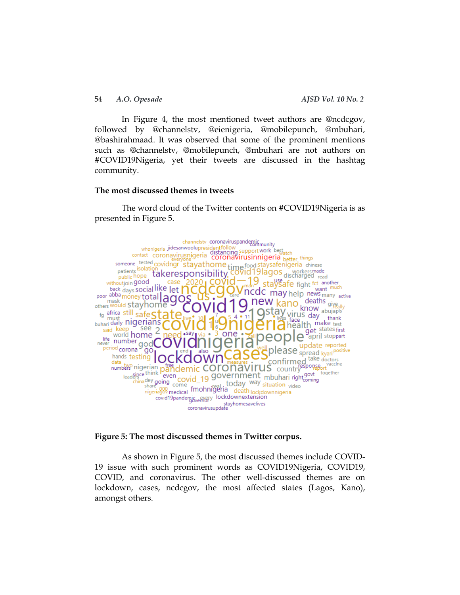54 *A.O. Opesade AJSD Vol. 10 No. 2*

In Figure 4, the most mentioned tweet authors are @ncdcgov, followed by @channelstv, @eienigeria, @mobilepunch, @mbuhari, @bashirahmaad. It was observed that some of the prominent mentions such as @channelstv, @mobilepunch, @mbuhari are not authors on #COVID19Nigeria, yet their tweets are discussed in the hashtag community.

#### **The most discussed themes in tweets**

The word cloud of the Twitter contents on #COVID19Nigeria is as presented in Figure 5.



**Figure 5: The most discussed themes in Twitter corpus.**

As shown in Figure 5, the most discussed themes include COVID-19 issue with such prominent words as COVID19Nigeria, COVID19, COVID, and coronavirus. The other well-discussed themes are on lockdown, cases, ncdcgov, the most affected states (Lagos, Kano), amongst others.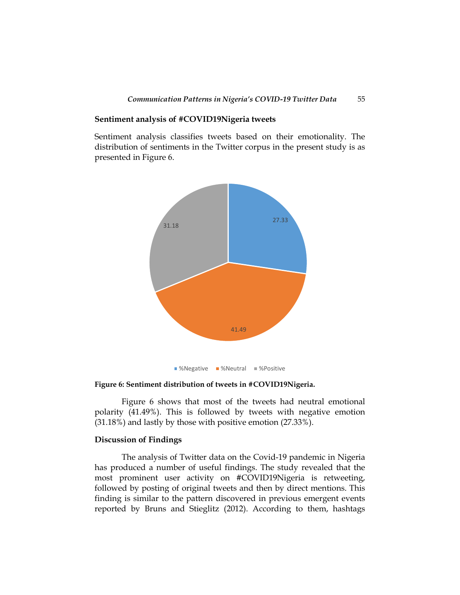#### **Sentiment analysis of #COVID19Nigeria tweets**

Sentiment analysis classifies tweets based on their emotionality. The distribution of sentiments in the Twitter corpus in the present study is as presented in Figure 6.



**Figure 6: Sentiment distribution of tweets in #COVID19Nigeria.**

Figure 6 shows that most of the tweets had neutral emotional polarity (41.49%). This is followed by tweets with negative emotion (31.18%) and lastly by those with positive emotion (27.33%).

### **Discussion of Findings**

The analysis of Twitter data on the Covid-19 pandemic in Nigeria has produced a number of useful findings. The study revealed that the most prominent user activity on #COVID19Nigeria is retweeting, followed by posting of original tweets and then by direct mentions. This finding is similar to the pattern discovered in previous emergent events reported by Bruns and Stieglitz (2012). According to them, hashtags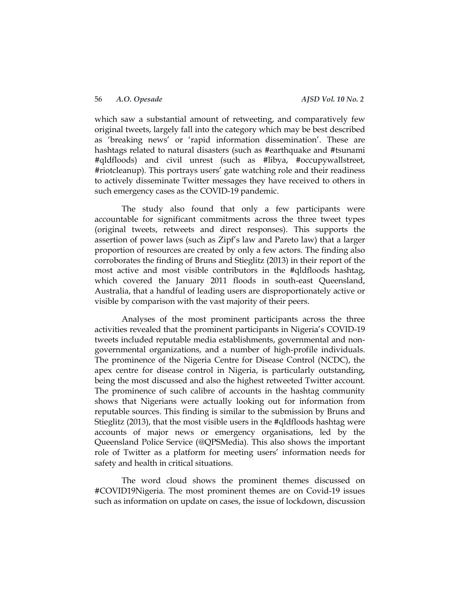which saw a substantial amount of retweeting, and comparatively few original tweets, largely fall into the category which may be best described as 'breaking news' or 'rapid information dissemination'. These are hashtags related to natural disasters (such as #earthquake and #tsunami #qldfloods) and civil unrest (such as #libya, #occupywallstreet, #riotcleanup). This portrays users' gate watching role and their readiness to actively disseminate Twitter messages they have received to others in such emergency cases as the COVID-19 pandemic.

The study also found that only a few participants were accountable for significant commitments across the three tweet types (original tweets, retweets and direct responses). This supports the assertion of power laws (such as Zipf's law and Pareto law) that a larger proportion of resources are created by only a few actors. The finding also corroborates the finding of Bruns and Stieglitz (2013) in their report of the most active and most visible contributors in the #qldfloods hashtag, which covered the January 2011 floods in south-east Queensland, Australia, that a handful of leading users are disproportionately active or visible by comparison with the vast majority of their peers.

Analyses of the most prominent participants across the three activities revealed that the prominent participants in Nigeria's COVID-19 tweets included reputable media establishments, governmental and nongovernmental organizations, and a number of high-profile individuals. The prominence of the Nigeria Centre for Disease Control (NCDC), the apex centre for disease control in Nigeria, is particularly outstanding, being the most discussed and also the highest retweeted Twitter account. The prominence of such calibre of accounts in the hashtag community shows that Nigerians were actually looking out for information from reputable sources. This finding is similar to the submission by Bruns and Stieglitz (2013), that the most visible users in the #qldfloods hashtag were accounts of major news or emergency organisations, led by the Queensland Police Service (@QPSMedia). This also shows the important role of Twitter as a platform for meeting users' information needs for safety and health in critical situations.

The word cloud shows the prominent themes discussed on #COVID19Nigeria. The most prominent themes are on Covid-19 issues such as information on update on cases, the issue of lockdown, discussion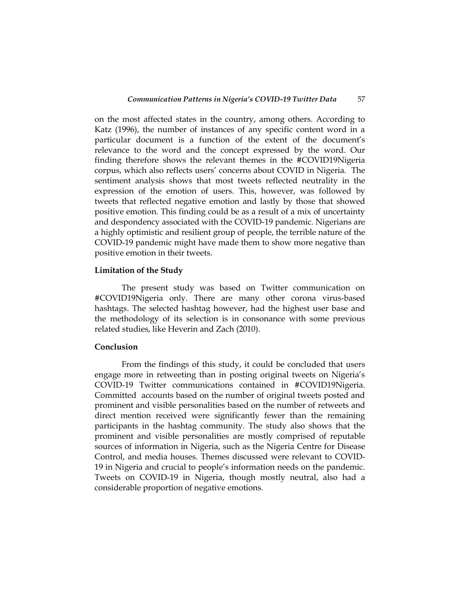on the most affected states in the country, among others. According to Katz (1996), the number of instances of any specific content word in a particular document is a function of the extent of the document's relevance to the word and the concept expressed by the word. Our finding therefore shows the relevant themes in the #COVID19Nigeria corpus, which also reflects users' concerns about COVID in Nigeria. The sentiment analysis shows that most tweets reflected neutrality in the expression of the emotion of users. This, however, was followed by tweets that reflected negative emotion and lastly by those that showed positive emotion. This finding could be as a result of a mix of uncertainty and despondency associated with the COVID-19 pandemic. Nigerians are a highly optimistic and resilient group of people, the terrible nature of the COVID-19 pandemic might have made them to show more negative than positive emotion in their tweets.

#### **Limitation of the Study**

The present study was based on Twitter communication on #COVID19Nigeria only. There are many other corona virus-based hashtags. The selected hashtag however, had the highest user base and the methodology of its selection is in consonance with some previous related studies, like Heverin and Zach (2010).

### **Conclusion**

From the findings of this study, it could be concluded that users engage more in retweeting than in posting original tweets on Nigeria's COVID-19 Twitter communications contained in #COVID19Nigeria. Committed accounts based on the number of original tweets posted and prominent and visible personalities based on the number of retweets and direct mention received were significantly fewer than the remaining participants in the hashtag community. The study also shows that the prominent and visible personalities are mostly comprised of reputable sources of information in Nigeria, such as the Nigeria Centre for Disease Control, and media houses. Themes discussed were relevant to COVID-19 in Nigeria and crucial to people's information needs on the pandemic. Tweets on COVID-19 in Nigeria, though mostly neutral, also had a considerable proportion of negative emotions.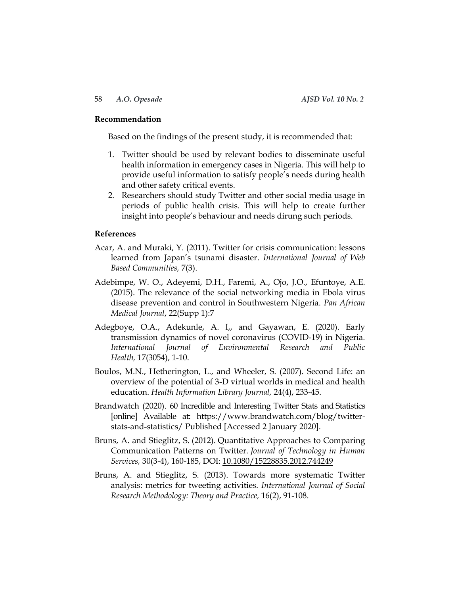#### **Recommendation**

Based on the findings of the present study, it is recommended that:

- 1. Twitter should be used by relevant bodies to disseminate useful health information in emergency cases in Nigeria. This will help to provide useful information to satisfy people's needs during health and other safety critical events.
- 2. Researchers should study Twitter and other social media usage in periods of public health crisis. This will help to create further insight into people's behaviour and needs dirung such periods.

#### **References**

- Acar, A. and Muraki, Y. (2011). Twitter for crisis communication: lessons learned from Japan's tsunami disaster. *International Journal of Web Based Communities,* 7(3).
- Adebimpe, W. O., Adeyemi, D.H., Faremi, A., Ojo, J.O., Efuntoye, A.E. (2015). The relevance of the social networking media in Ebola virus disease prevention and control in Southwestern Nigeria. *Pan African Medical Journal*, 22(Supp 1):7
- Adegboye, O.A., Adekunle, A. I,, and Gayawan, E. (2020). Early transmission dynamics of novel coronavirus (COVID-19) in Nigeria*. International Journal of Environmental Research and Public Health,* 17(3054), 1-10.
- Boulos, M.N., Hetherington, L., and Wheeler, S. (2007). Second Life: an overview of the potential of 3-D virtual worlds in medical and health education. *Health Information Library Journal,* 24(4), 233-45.
- Brandwatch (2020). 60 Incredible and Interesting Twitter Stats and Statistics [online] Available at: [https://www.brandwatch.com/blog/twitter](https://www.brandwatch.com/blog/twitter-stats-and-statistics/)[stats-and-statistics/](https://www.brandwatch.com/blog/twitter-stats-and-statistics/) Published [Accessed 2 January 2020].
- Bruns, A. and Stieglitz, S. (2012). Quantitative Approaches to Comparing Communication Patterns on Twitter. *Journal of Technology in Human Services,* 30(3-4), 160-185, DOI: [10.1080/15228835.2012.744249](https://doi.org/10.1080/15228835.2012.744249)
- Bruns, A. and Stieglitz, S. (2013). Towards more systematic Twitter analysis: metrics for tweeting activities. *International Journal of Social Research Methodology: Theory and Practice,* 16(2), 91-108.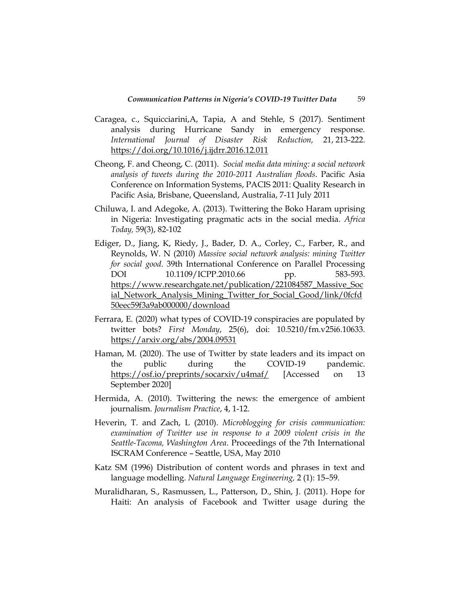- Caragea, c., Squicciarini,A, Tapia, A and Stehle, S (2017). Sentiment analysis during Hurricane Sandy in emergency response. *International Journal of Disaster Risk Reduction,* 21, 213-222. <https://doi.org/10.1016/j.ijdrr.2016.12.011>
- Cheong, F. and Cheong, C. (2011). *Social media data mining: a social network analysis of tweets during the 2010-2011 Australian floods*. Pacific Asia Conference on Information Systems, PACIS 2011: Quality Research in Pacific Asia, Brisbane, Queensland, Australia, 7-11 July 2011
- Chiluwa, I. and Adegoke, A. (2013). Twittering the Boko Haram uprising in Nigeria: Investigating pragmatic acts in the social media. *Africa Today,* 59(3), 82-102
- Ediger, D., Jiang, K, Riedy, J., Bader, D. A., Corley, C., Farber, R., and Reynolds, W. N (2010) *Massive social network analysis: mining Twitter for social good*. 39th International Conference on Parallel Processing DOI 10.1109/ICPP.2010.66 pp. 583-593. [https://www.researchgate.net/publication/221084587\\_Massive\\_Soc](https://www.researchgate.net/publication/221084587_Massive_Social_Network_Analysis_Mining_Twitter_for_Social_Good/link/0fcfd50eec59f3a9ab000000/download) [ial\\_Network\\_Analysis\\_Mining\\_Twitter\\_for\\_Social\\_Good/link/0fcfd](https://www.researchgate.net/publication/221084587_Massive_Social_Network_Analysis_Mining_Twitter_for_Social_Good/link/0fcfd50eec59f3a9ab000000/download) [50eec59f3a9ab000000/download](https://www.researchgate.net/publication/221084587_Massive_Social_Network_Analysis_Mining_Twitter_for_Social_Good/link/0fcfd50eec59f3a9ab000000/download)
- Ferrara, E. (2020) what types of COVID-19 conspiracies are populated by twitter bots? *First Monday*, 25(6), doi: 10.5210/fm.v25i6.10633. <https://arxiv.org/abs/2004.09531>
- Haman, M. (2020). The use of Twitter by state leaders and its impact on the public during the COVID-19 pandemic. <https://osf.io/preprints/socarxiv/u4maf/> [Accessed on 13 September 2020]
- Hermida, A. (2010). Twittering the news: the emergence of ambient journalism. *Journalism Practice*, 4, 1-12.
- Heverin, T. and Zach, L (2010). *Microblogging for crisis communication: examination of Twitter use in response to a 2009 violent crisis in the Seattle-Tacoma, Washington Area*. Proceedings of the 7th International ISCRAM Conference – Seattle, USA, May 2010
- Katz SM (1996) Distribution of content words and phrases in text and language modelling. *Natural Language Engineering,* 2 (1): 15–59.
- Muralidharan, S., Rasmussen, L., Patterson, D., Shin, J. (2011). Hope for Haiti: An analysis of Facebook and Twitter usage during the